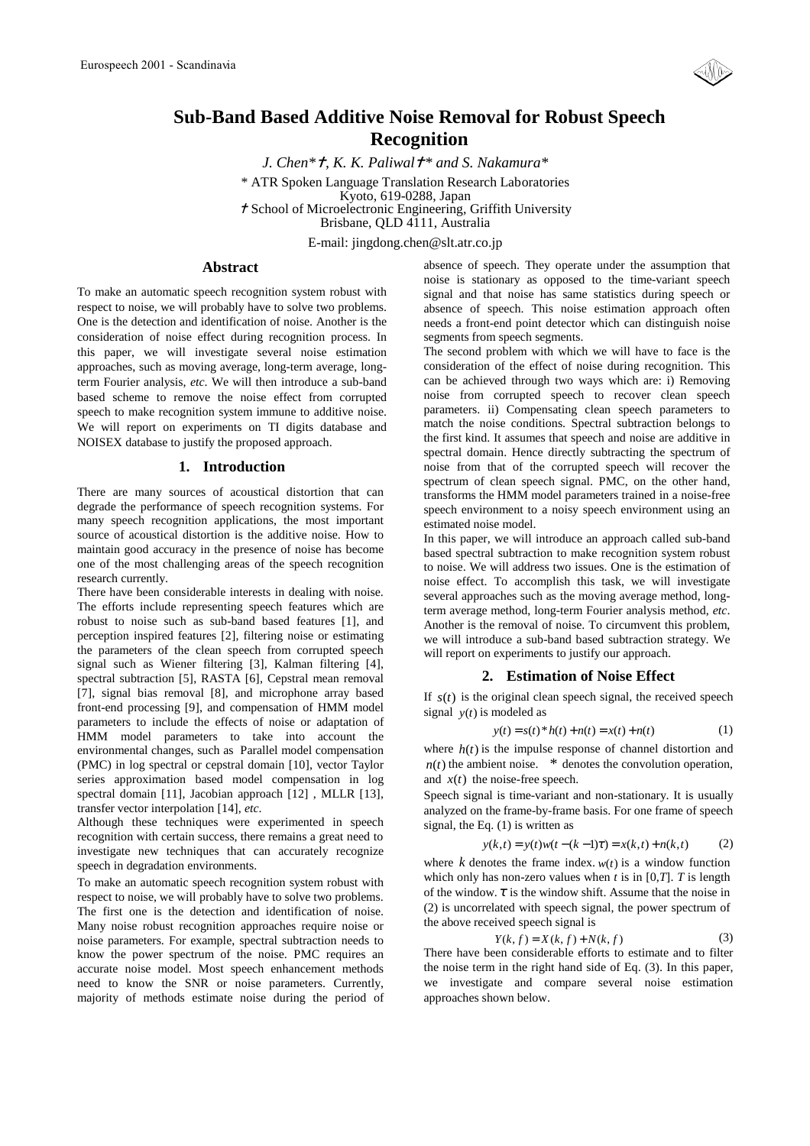

# **Sub-Band Based Additive Noise Removal for Robust Speech Recognition**

*J. Chen\*, K. K. Paliwal\* and S. Nakamura\**  \* ATR Spoken Language Translation Research Laboratories Kyoto, 619-0288, Japan School of Microelectronic Engineering, Griffith University Brisbane, QLD 4111, Australia E-mail: jingdong.chen@slt.atr.co.jp

## **Abstract**

To make an automatic speech recognition system robust with respect to noise, we will probably have to solve two problems. One is the detection and identification of noise. Another is the consideration of noise effect during recognition process. In this paper, we will investigate several noise estimation approaches, such as moving average, long-term average, longterm Fourier analysis, *etc*. We will then introduce a sub-band based scheme to remove the noise effect from corrupted speech to make recognition system immune to additive noise. We will report on experiments on TI digits database and NOISEX database to justify the proposed approach.

#### **1. Introduction**

There are many sources of acoustical distortion that can degrade the performance of speech recognition systems. For many speech recognition applications, the most important source of acoustical distortion is the additive noise. How to maintain good accuracy in the presence of noise has become one of the most challenging areas of the speech recognition research currently.

There have been considerable interests in dealing with noise. The efforts include representing speech features which are robust to noise such as sub-band based features [1], and perception inspired features [2], filtering noise or estimating the parameters of the clean speech from corrupted speech signal such as Wiener filtering [3], Kalman filtering [4], spectral subtraction [5], RASTA [6], Cepstral mean removal [7], signal bias removal [8], and microphone array based front-end processing [9], and compensation of HMM model parameters to include the effects of noise or adaptation of HMM model parameters to take into account the environmental changes, such as Parallel model compensation (PMC) in log spectral or cepstral domain [10], vector Taylor series approximation based model compensation in log spectral domain [11], Jacobian approach [12] , MLLR [13], transfer vector interpolation [14], *etc*.

Although these techniques were experimented in speech recognition with certain success, there remains a great need to investigate new techniques that can accurately recognize speech in degradation environments.

To make an automatic speech recognition system robust with respect to noise, we will probably have to solve two problems. The first one is the detection and identification of noise. Many noise robust recognition approaches require noise or noise parameters. For example, spectral subtraction needs to know the power spectrum of the noise. PMC requires an accurate noise model. Most speech enhancement methods need to know the SNR or noise parameters. Currently, majority of methods estimate noise during the period of absence of speech. They operate under the assumption that noise is stationary as opposed to the time-variant speech signal and that noise has same statistics during speech or absence of speech. This noise estimation approach often needs a front-end point detector which can distinguish noise segments from speech segments.

The second problem with which we will have to face is the consideration of the effect of noise during recognition. This can be achieved through two ways which are: i) Removing noise from corrupted speech to recover clean speech parameters. ii) Compensating clean speech parameters to match the noise conditions. Spectral subtraction belongs to the first kind. It assumes that speech and noise are additive in spectral domain. Hence directly subtracting the spectrum of noise from that of the corrupted speech will recover the spectrum of clean speech signal. PMC, on the other hand, transforms the HMM model parameters trained in a noise-free speech environment to a noisy speech environment using an estimated noise model.

In this paper, we will introduce an approach called sub-band based spectral subtraction to make recognition system robust to noise. We will address two issues. One is the estimation of noise effect. To accomplish this task, we will investigate several approaches such as the moving average method, longterm average method, long-term Fourier analysis method, *etc*. Another is the removal of noise. To circumvent this problem, we will introduce a sub-band based subtraction strategy. We will report on experiments to justify our approach.

## **2. Estimation of Noise Effect**

If  $s(t)$  is the original clean speech signal, the received speech signal  $y(t)$  is modeled as

$$
y(t) = s(t)^* h(t) + n(t) = x(t) + n(t)
$$
 (1)

where  $h(t)$  is the impulse response of channel distortion and  $n(t)$  the ambient noise.  $*$  denotes the convolution operation, and  $x(t)$  the noise-free speech.

Speech signal is time-variant and non-stationary. It is usually analyzed on the frame-by-frame basis. For one frame of speech signal, the Eq. (1) is written as

$$
y(k,t) = y(t)w(t - (k-1)\tau) = x(k,t) + n(k,t)
$$
 (2)

where *k* denotes the frame index.  $w(t)$  is a window function which only has non-zero values when  $t$  is in [0,*T*].  $T$  is length of the window.  $\tau$  is the window shift. Assume that the noise in (2) is uncorrelated with speech signal, the power spectrum of the above received speech signal is

$$
Y(k, f) = X(k, f) + N(k, f)
$$
\n(3)

There have been considerable efforts to estimate and to filter the noise term in the right hand side of Eq. (3). In this paper, we investigate and compare several noise estimation approaches shown below.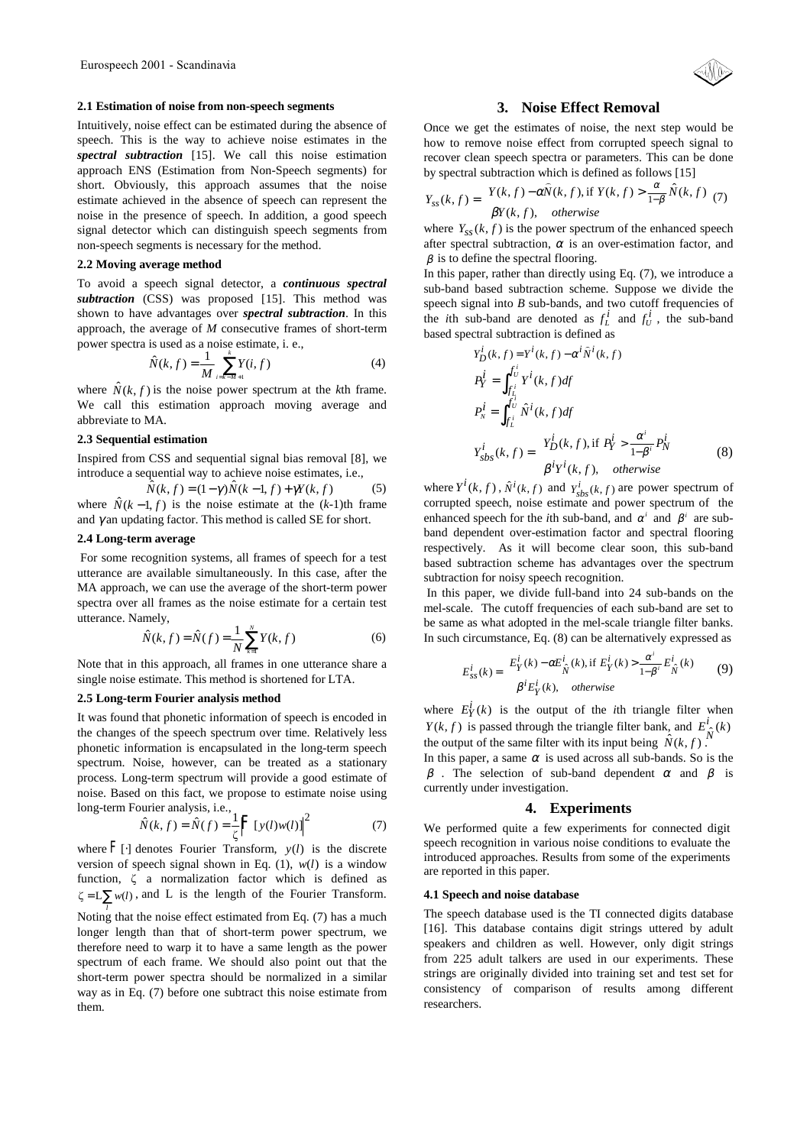#### **2.1 Estimation of noise from non-speech segments**

Intuitively, noise effect can be estimated during the absence of speech. This is the way to achieve noise estimates in the *spectral subtraction* [15]. We call this noise estimation approach ENS (Estimation from Non-Speech segments) for short. Obviously, this approach assumes that the noise estimate achieved in the absence of speech can represent the noise in the presence of speech. In addition, a good speech signal detector which can distinguish speech segments from non-speech segments is necessary for the method.

## **2.2 Moving average method**

To avoid a speech signal detector, a *continuous spectral subtraction* (CSS) was proposed [15]. This method was shown to have advantages over *spectral subtraction*. In this approach, the average of *M* consecutive frames of short-term power spectra is used as a noise estimate, i. e.,

$$
\hat{N}(k, f) = \frac{1}{M} \sum_{i=k-M+1}^{k} Y(i, f)
$$
\n(4)

where  $\hat{N}(k, f)$  is the noise power spectrum at the *k*th frame. We call this estimation approach moving average and abbreviate to MA.

## **2.3 Sequential estimation**

Inspired from CSS and sequential signal bias removal [8], we introduce a sequential way to achieve noise estimates, i.e.,

$$
\widehat{N}(k,f) = (1-\gamma)\widehat{N}(k-1,f) + \gamma Y(k,f) \tag{5}
$$

where  $\hat{N}(k-1, f)$  is the noise estimate at the  $(k-1)$ th frame and  $\gamma$  an updating factor. This method is called SE for short.

## **2.4 Long-term average**

 For some recognition systems, all frames of speech for a test utterance are available simultaneously. In this case, after the MA approach, we can use the average of the short-term power spectra over all frames as the noise estimate for a certain test utterance. Namely,

$$
\hat{N}(k, f) = \hat{N}(f) = \frac{1}{N} \sum_{k=1}^{N} Y(k, f)
$$
\n(6)

Note that in this approach, all frames in one utterance share a single noise estimate. This method is shortened for LTA.

### **2.5 Long-term Fourier analysis method**

It was found that phonetic information of speech is encoded in the changes of the speech spectrum over time. Relatively less phonetic information is encapsulated in the long-term speech spectrum. Noise, however, can be treated as a stationary process. Long-term spectrum will provide a good estimate of noise. Based on this fact, we propose to estimate noise using long-term Fourier analysis, i.e., 2

$$
\hat{N}(k, f) = \hat{N}(f) = \frac{1}{\zeta} \left| \mathbf{F}[y(l)w(l)] \right|^2 \tag{7}
$$

where  $F[\cdot]$  denotes Fourier Transform,  $y(l)$  is the discrete version of speech signal shown in Eq. (1),  $w(l)$  is a window function,  $\zeta$  a normalization factor which is defined as  $\zeta = L \sum_i w(i)$ , and L is the length of the Fourier Transform.

Noting that the noise effect estimated from Eq. (7) has a much longer length than that of short-term power spectrum, we therefore need to warp it to have a same length as the power spectrum of each frame. We should also point out that the short-term power spectra should be normalized in a similar way as in Eq. (7) before one subtract this noise estimate from them.

## **3. Noise Effect Removal**

Once we get the estimates of noise, the next step would be how to remove noise effect from corrupted speech signal to recover clean speech spectra or parameters. This can be done by spectral subtraction which is defined as follows [15]

$$
Y_{ss}(k,f) = \begin{cases} Y(k,f) - \alpha \hat{N}(k,f), & \text{if } Y(k,f) > \frac{\alpha}{1-\beta} \hat{N}(k,f) \\ \beta Y(k,f), & otherwise \end{cases}
$$
 (7)

where  $Y_{ss}(k, f)$  is the power spectrum of the enhanced speech after spectral subtraction,  $\alpha$  is an over-estimation factor, and  $\beta$  is to define the spectral flooring.

In this paper, rather than directly using Eq. (7), we introduce a sub-band based subtraction scheme. Suppose we divide the speech signal into *B* sub-bands, and two cutoff frequencies of the *i*th sub-band are denoted as  $f_L^i$  and  $f_U^i$ , the sub-band based spectral subtraction is defined as

$$
Y_D^i(k, f) = Y^i(k, f) - \alpha^i \hat{N}^i(k, f)
$$
  
\n
$$
P_Y^i = \int_{f_L^i}^{f_U^i} Y^i(k, f) df
$$
  
\n
$$
P_N^i = \int_{f_L^i}^{f_U^i} \hat{N}^i(k, f) df
$$
  
\n
$$
Y_{sbs}^i(k, f) = \begin{cases} Y_D^i(k, f), \text{if } P_Y^i > \frac{\alpha^i}{1 - \beta^i} P_N^i\\ \beta^i Y^i(k, f), \quad \text{otherwise} \end{cases}
$$
 (8)

where  $Y^{i}(k, f)$ ,  $\hat{N}^{i}(k, f)$  and  $Y^{i}_{sbs}(k, f)$  are power spectrum of corrupted speech, noise estimate and power spectrum of the enhanced speech for the *i*th sub-band, and  $\alpha^{i}$  and  $\beta^{i}$  are subband dependent over-estimation factor and spectral flooring respectively. As it will become clear soon, this sub-band based subtraction scheme has advantages over the spectrum subtraction for noisy speech recognition.

 In this paper, we divide full-band into 24 sub-bands on the mel-scale. The cutoff frequencies of each sub-band are set to be same as what adopted in the mel-scale triangle filter banks. In such circumstance, Eq. (8) can be alternatively expressed as

$$
E_{ss}^{i}(k) = \begin{cases} E_{Y}^{i}(k) - \alpha E_{\hat{N}}^{i}(k), \text{if } E_{Y}^{i}(k) > \frac{\alpha^{i}}{1 - \beta^{i}} E_{\hat{N}}^{i}(k) \\ \beta^{i} E_{Y}^{i}(k), \quad \text{otherwise} \end{cases}
$$
(9)

where  $E_Y^i(k)$  is the output of the *i*th triangle filter when  $Y(k, f)$  is passed through the triangle filter bank, and  $E^i_{\hat{N}}(k)$ the output of the same filter with its input being  $\hat{N}(k, f)$ .

In this paper, a same  $\alpha$  is used across all sub-bands. So is the  $β$ . The selection of sub-band dependent  $α$  and  $β$  is currently under investigation.

#### **4. Experiments**

We performed quite a few experiments for connected digit speech recognition in various noise conditions to evaluate the introduced approaches. Results from some of the experiments are reported in this paper.

#### **4.1 Speech and noise database**

The speech database used is the TI connected digits database [16]. This database contains digit strings uttered by adult speakers and children as well. However, only digit strings from 225 adult talkers are used in our experiments. These strings are originally divided into training set and test set for consistency of comparison of results among different researchers.

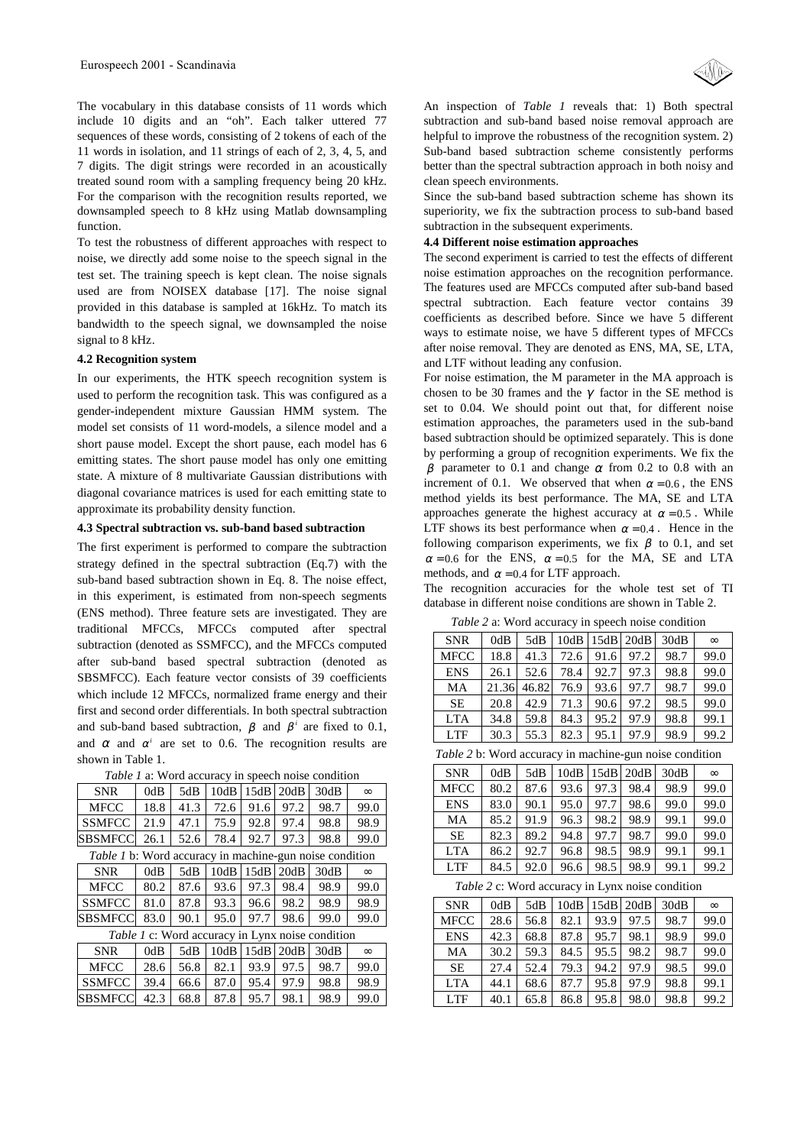The vocabulary in this database consists of 11 words which include 10 digits and an "oh". Each talker uttered 77 sequences of these words, consisting of 2 tokens of each of the 11 words in isolation, and 11 strings of each of 2, 3, 4, 5, and 7 digits. The digit strings were recorded in an acoustically treated sound room with a sampling frequency being 20 kHz. For the comparison with the recognition results reported, we downsampled speech to 8 kHz using Matlab downsampling function.

To test the robustness of different approaches with respect to noise, we directly add some noise to the speech signal in the test set. The training speech is kept clean. The noise signals used are from NOISEX database [17]. The noise signal provided in this database is sampled at 16kHz. To match its bandwidth to the speech signal, we downsampled the noise signal to 8 kHz.

#### **4.2 Recognition system**

In our experiments, the HTK speech recognition system is used to perform the recognition task. This was configured as a gender-independent mixture Gaussian HMM system. The model set consists of 11 word-models, a silence model and a short pause model. Except the short pause, each model has 6 emitting states. The short pause model has only one emitting state. A mixture of 8 multivariate Gaussian distributions with diagonal covariance matrices is used for each emitting state to approximate its probability density function.

## **4.3 Spectral subtraction vs. sub-band based subtraction**

The first experiment is performed to compare the subtraction strategy defined in the spectral subtraction (Eq.7) with the sub-band based subtraction shown in Eq. 8. The noise effect, in this experiment, is estimated from non-speech segments (ENS method). Three feature sets are investigated. They are traditional MFCCs, MFCCs computed after spectral subtraction (denoted as SSMFCC), and the MFCCs computed after sub-band based spectral subtraction (denoted as SBSMFCC). Each feature vector consists of 39 coefficients which include 12 MFCCs, normalized frame energy and their first and second order differentials. In both spectral subtraction and sub-band based subtraction,  $\beta$  and  $\beta$ <sup>*i*</sup> are fixed to 0.1, and  $\alpha$  and  $\alpha^i$  are set to 0.6. The recognition results are shown in Table 1.

|  | Table 1 a: Word accuracy in speech noise condition |  |  |
|--|----------------------------------------------------|--|--|
|  |                                                    |  |  |

| <b>SNR</b>                                |  |  |  |  |  | $0dB$   5dB   10dB   15dB   20dB   30dB | $\infty$ |  |  |  |  |
|-------------------------------------------|--|--|--|--|--|-----------------------------------------|----------|--|--|--|--|
| <b>MFCC</b>                               |  |  |  |  |  | 18.8 41.3 72.6 91.6 97.2 98.7           | 199.0    |  |  |  |  |
| SSMFCC 21.9 47.1 75.9 92.8 97.4 98.8 98.9 |  |  |  |  |  |                                         |          |  |  |  |  |
| SBSMFCC 26.1 52.6 78.4 92.7 97.3 98.8     |  |  |  |  |  |                                         | -99.0    |  |  |  |  |

| <i>Table 1</i> b: Word accuracy in machine-gun noise condition |      |      |      |                |                |                                   |          |  |  |  |
|----------------------------------------------------------------|------|------|------|----------------|----------------|-----------------------------------|----------|--|--|--|
| <b>SNR</b>                                                     | 0dB  |      |      |                |                | $5dB$   10dB   15dB   20dB   30dB | $\infty$ |  |  |  |
| <b>MFCC</b>                                                    | 80.2 | 87.6 |      |                | 93.6 97.3 98.4 | 98.9                              | 99.0     |  |  |  |
| <b>SSMFCC</b>                                                  | 81.0 | 87.8 |      | 93.3 96.6 98.2 |                | 98.9                              | 98.9     |  |  |  |
| <b>SBSMFCC</b>                                                 | 83.0 | 90.1 | 95.0 |                | 97.7 98.6      | 99.0                              | 99.0     |  |  |  |

| <i>Table 1</i> c: Word accuracy in Lynx noise condition |  |  |  |
|---------------------------------------------------------|--|--|--|
|                                                         |  |  |  |

| <b>SNR</b>                  | $0dB$ | 5dB   10dB   15dB   20dB   30dB  |      |      | $\infty$ |
|-----------------------------|-------|----------------------------------|------|------|----------|
| <b>MECC</b>                 |       | 28.6 56.8 82.1 93.9 97.5         |      | 98.7 | 99.0     |
| <b>SSMFCC</b>               |       | 39.4   66.6   87.0   95.4   97.9 |      | 98.8 | 98.9     |
| SBSMFCC 42.3 68.8 87.8 95.7 |       |                                  | 98.1 | 98.9 | 99.0     |

An inspection of *Table 1* reveals that: 1) Both spectral subtraction and sub-band based noise removal approach are helpful to improve the robustness of the recognition system. 2) Sub-band based subtraction scheme consistently performs better than the spectral subtraction approach in both noisy and clean speech environments.

Since the sub-band based subtraction scheme has shown its superiority, we fix the subtraction process to sub-band based subtraction in the subsequent experiments.

#### **4.4 Different noise estimation approaches**

The second experiment is carried to test the effects of different noise estimation approaches on the recognition performance. The features used are MFCCs computed after sub-band based spectral subtraction. Each feature vector contains 39 coefficients as described before. Since we have 5 different ways to estimate noise, we have 5 different types of MFCCs after noise removal. They are denoted as ENS, MA, SE, LTA, and LTF without leading any confusion.

For noise estimation, the M parameter in the MA approach is chosen to be 30 frames and the  $\gamma$  factor in the SE method is set to 0.04. We should point out that, for different noise estimation approaches, the parameters used in the sub-band based subtraction should be optimized separately. This is done by performing a group of recognition experiments. We fix the  $β$  parameter to 0.1 and change  $α$  from 0.2 to 0.8 with an increment of 0.1. We observed that when  $\alpha = 0.6$ , the ENS method yields its best performance. The MA, SE and LTA approaches generate the highest accuracy at  $\alpha = 0.5$ . While LTF shows its best performance when  $\alpha = 0.4$ . Hence in the following comparison experiments, we fix  $\beta$  to 0.1, and set  $\alpha = 0.6$  for the ENS,  $\alpha = 0.5$  for the MA, SE and LTA methods, and  $\alpha$  = 0.4 for LTF approach.

The recognition accuracies for the whole test set of TI database in different noise conditions are shown in Table 2.

*Table 2* a: Word accuracy in speech noise condition

| <b>SNR</b>  | 0dB   | 5dB   | 10dB |      | 15dB 20dB | 30dB | $\infty$ |
|-------------|-------|-------|------|------|-----------|------|----------|
| <b>MFCC</b> | 18.8  | 41.3  | 72.6 | 91.6 | 97.2      | 98.7 | 99.0     |
| <b>ENS</b>  | 26.1  | 52.6  | 78.4 | 92.7 | 97.3      | 98.8 | 99.0     |
| MA          | 21.36 | 46.82 | 76.9 | 93.6 | 97.7      | 98.7 | 99.0     |
| <b>SE</b>   | 20.8  | 42.9  | 71.3 | 90.6 | 97.2      | 98.5 | 99.0     |
| <b>LTA</b>  | 34.8  | 59.8  | 84.3 | 95.2 | 97.9      | 98.8 | 99.1     |
| <b>LTF</b>  | 30.3  | 55.3  | 82.3 | 95.1 | 97.9      | 98.9 | 99.2     |

*Table 2* b: Word accuracy in machine-gun noise condition

| <b>SNR</b>  | 0dB  | 5dB  | 10dB | 15dB | 20dB | 30dB | $\infty$ |
|-------------|------|------|------|------|------|------|----------|
| <b>MFCC</b> | 80.2 | 87.6 | 93.6 | 97.3 | 98.4 | 98.9 | 99.0     |
| <b>ENS</b>  | 83.0 | 90.1 | 95.0 | 97.7 | 98.6 | 99.0 | 99.0     |
| МA          | 85.2 | 91.9 | 96.3 | 98.2 | 98.9 | 99.1 | 99.0     |
| <b>SE</b>   | 82.3 | 89.2 | 94.8 | 97.7 | 98.7 | 99.0 | 99.0     |
| <b>LTA</b>  | 86.2 | 92.7 | 96.8 | 98.5 | 98.9 | 99.1 | 99.1     |
| <b>LTF</b>  | 84.5 | 92.0 | 96.6 | 98.5 | 98.9 | 99.1 | 99.2     |

*Table 2* c: Word accuracy in Lynx noise condition

| <b>SNR</b>  | 0dB  | 5dB  | 10dB |      | 15dB 20dB | 30dB | $\infty$ |
|-------------|------|------|------|------|-----------|------|----------|
| <b>MFCC</b> | 28.6 | 56.8 | 82.1 | 93.9 | 97.5      | 98.7 | 99.0     |
| <b>ENS</b>  | 42.3 | 68.8 | 87.8 | 95.7 | 98.1      | 98.9 | 99.0     |
| MA          | 30.2 | 59.3 | 84.5 | 95.5 | 98.2      | 98.7 | 99.0     |
| <b>SE</b>   | 27.4 | 52.4 | 79.3 | 94.2 | 97.9      | 98.5 | 99.0     |
| <b>LTA</b>  | 44.1 | 68.6 | 87.7 | 95.8 | 97.9      | 98.8 | 99.1     |
| <b>LTF</b>  | 40.1 | 65.8 | 86.8 | 95.8 | 98.0      | 98.8 | 99.2     |